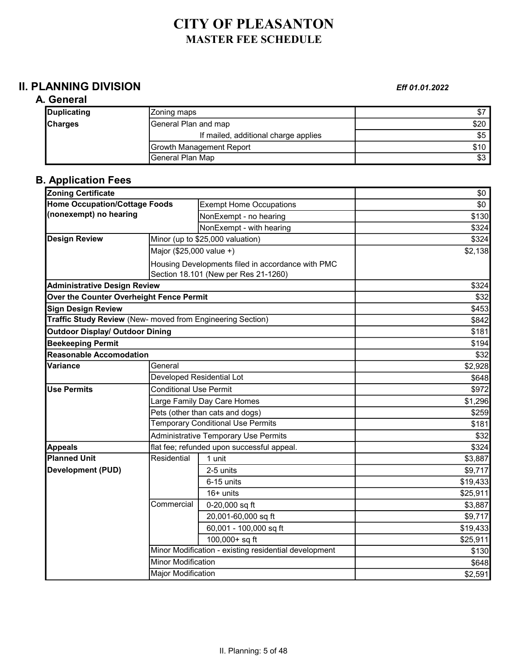# CITY OF PLEASANTON MASTER FEE SCHEDULE

## **II. PLANNING DIVISION** Eff 01.01.2022

#### A. General

#### **Duplicating**  2001 2002 **Zoning maps Example 2008** 2014 2015 2016 2021 2022 2022 2023 **Charges** General Plan and map **Example 20** S20 If mailed, additional charge applies \$5 Growth Management Report \$10<br>
General Plan Map \$3 General Plan Map

## B. Application Fees

| <b>Zoning Certificate</b>                                  |                                                       |                                            | \$0      |
|------------------------------------------------------------|-------------------------------------------------------|--------------------------------------------|----------|
| <b>Home Occupation/Cottage Foods</b>                       |                                                       | <b>Exempt Home Occupations</b>             | \$0      |
| (nonexempt) no hearing                                     |                                                       | NonExempt - no hearing                     | \$130    |
|                                                            |                                                       | NonExempt - with hearing                   | \$324    |
| <b>Design Review</b>                                       |                                                       | Minor (up to \$25,000 valuation)           | \$324    |
|                                                            | Major (\$25,000 value +)                              |                                            | \$2,138  |
|                                                            | Housing Developments filed in accordance with PMC     |                                            |          |
|                                                            | Section 18.101 (New per Res 21-1260)                  |                                            |          |
| <b>Administrative Design Review</b>                        |                                                       |                                            | \$324    |
| Over the Counter Overheight Fence Permit                   |                                                       | \$32                                       |          |
| <b>Sign Design Review</b>                                  |                                                       | \$453                                      |          |
| Traffic Study Review (New- moved from Engineering Section) |                                                       |                                            | \$842    |
| <b>Outdoor Display/ Outdoor Dining</b>                     |                                                       |                                            | \$181    |
| <b>Beekeeping Permit</b>                                   |                                                       |                                            | \$194    |
| <b>Reasonable Accomodation</b>                             |                                                       |                                            | \$32     |
| Variance                                                   | General                                               |                                            | \$2,928  |
|                                                            | Developed Residential Lot                             |                                            | \$648    |
| <b>Use Permits</b>                                         | <b>Conditional Use Permit</b>                         |                                            | \$972    |
|                                                            | Large Family Day Care Homes                           |                                            | \$1,296  |
|                                                            | Pets (other than cats and dogs)                       |                                            | \$259    |
|                                                            | <b>Temporary Conditional Use Permits</b>              |                                            | \$181    |
|                                                            | <b>Administrative Temporary Use Permits</b>           |                                            | \$32     |
| <b>Appeals</b>                                             |                                                       | flat fee; refunded upon successful appeal. | \$324    |
| <b>Planned Unit</b>                                        | Residential                                           | 1 unit                                     | \$3,887  |
| <b>Development (PUD)</b>                                   |                                                       | 2-5 units                                  | \$9,717  |
|                                                            |                                                       | 6-15 units                                 | \$19,433 |
|                                                            |                                                       | $16+$ units                                | \$25,911 |
|                                                            | Commercial                                            | 0-20,000 sq ft                             | \$3,887  |
|                                                            |                                                       | 20,001-60,000 sq ft                        | \$9,717  |
|                                                            |                                                       | 60,001 - 100,000 sq ft                     | \$19,433 |
|                                                            |                                                       | 100,000+ sq ft                             | \$25,911 |
|                                                            | Minor Modification - existing residential development |                                            | \$130    |
|                                                            | <b>Minor Modification</b>                             |                                            | \$648    |
|                                                            | <b>Major Modification</b>                             |                                            | \$2,591  |